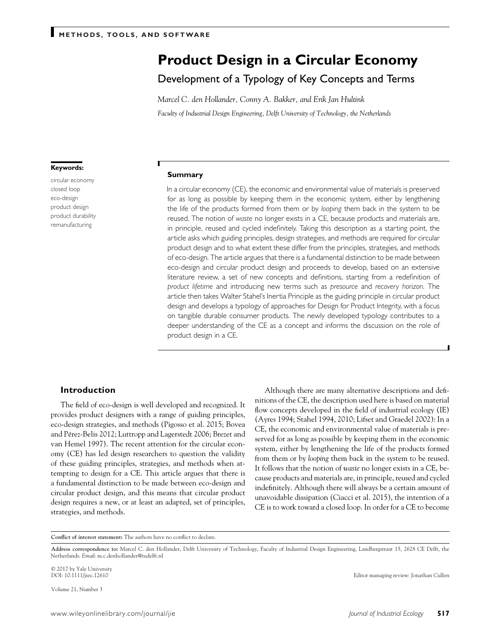# **Product Design in a Circular Economy**

## Development of a Typology of Key Concepts and Terms

*Marcel C. den Hollander, Conny A. Bakker, and Erik Jan Hultink Faculty of Industrial Design Engineering, Delft University of Technology, the Netherlands*

#### **Keywords:**

circular economy closed loop eco-design product design product durability remanufacturing

#### **Summary**

In a circular economy (CE), the economic and environmental value of materials is preserved for as long as possible by keeping them in the economic system, either by lengthening the life of the products formed from them or by *looping* them back in the system to be reused. The notion of *waste* no longer exists in a CE, because products and materials are, in principle, reused and cycled indefinitely. Taking this description as a starting point, the ar ticle asks which guiding principles, design strategies, and methods are required for circular product design and to what extent these differ from the principles, strategies, and methods of eco-design. The article argues that there is a fundamental distinction to be made between eco-design and circular product design and proceeds to develop, based on an extensive literature review, a set of new concepts and definitions, starting from a redefinition of *product lifetime* and introducing new terms such as *presource* and *recovery horizon*. The article then takes Walter Stahel's Inertia Principle as the guiding principle in circular product design and develops a typology of approaches for Design for Product Integrity, with a focus on tangible durable consumer products. The newly developed typology contributes to a deeper understanding of the CE as a concept and informs the discussion on the role of product design in a CE.

#### **Introduction**

The field of eco-design is well developed and recognized. It provides product designers with a range of guiding principles, eco-design strategies, and methods (Pigosso et al. 2015; Bovea and Pérez-Belis 2012; Luttropp and Lagerstedt 2006; Brezet and van Hemel 1997). The recent attention for the circular economy (CE) has led design researchers to question the validity of these guiding principles, strategies, and methods when attempting to design for a CE. This article argues that there is a fundamental distinction to be made between eco-design and circular product design, and this means that circular product design requires a new, or at least an adapted, set of principles, strategies, and methods.

Although there are many alternative descriptions and definitions of the CE, the description used here is based on material flow concepts developed in the field of industrial ecology (IE) (Ayres 1994; Stahel 1994, 2010; Lifset and Graedel 2002): In a CE, the economic and environmental value of materials is preserved for as long as possible by keeping them in the economic system, either by lengthening the life of the products formed from them or by *looping* them back in the system to be reused. It follows that the notion of *waste* no longer exists in a CE, because products and materials are, in principle, reused and cycled indefinitely. Although there will always be a certain amount of unavoidable dissipation (Ciacci et al. 2015), the intention of a CE is to work toward a closed loop. In order for a CE to become

**Conflict of interest statement:** The authors have no conflict to declare.

**Address correspondence to:** Marcel C. den Hollander, Delft University of Technology, Faculty of Industrial Design Engineering, Landbergstraat 15, 2628 CE Delft, the Netherlands. *Email*: m.c.denhollander@tudelft.nl

© 2017 by Yale University

Volume 21, Number 3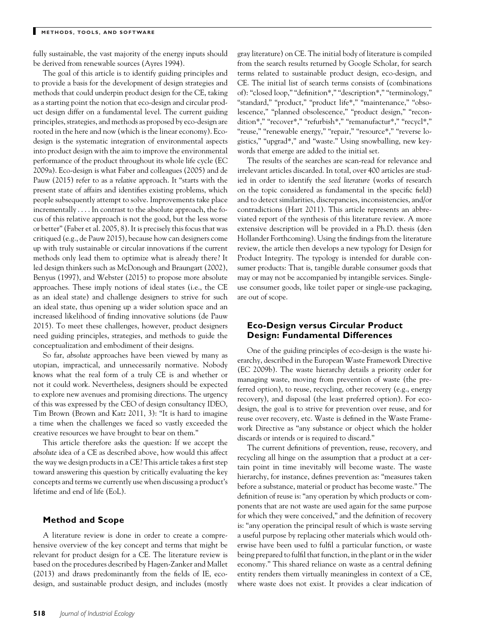fully sustainable, the vast majority of the energy inputs should be derived from renewable sources (Ayres 1994).

The goal of this article is to identify guiding principles and to provide a basis for the development of design strategies and methods that could underpin product design for the CE, taking as a starting point the notion that eco-design and circular product design differ on a fundamental level. The current guiding principles, strategies, and methods as proposed by eco-design are rooted in the here and now (which is the linear economy). Ecodesign is the systematic integration of environmental aspects into product design with the aim to improve the environmental performance of the product throughout its whole life cycle (EC 2009a). Eco-design is what Faber and colleagues (2005) and de Pauw (2015) refer to as a *relative* approach. It "starts with the present state of affairs and identifies existing problems, which people subsequently attempt to solve. Improvements take place incrementally . . . . In contrast to the absolute approach, the focus of this relative approach is not the good, but the less worse or better" (Faber et al. 2005, 8). It is precisely this focus that was critiqued (e.g., de Pauw 2015), because how can designers come up with truly sustainable or circular innovations if the current methods only lead them to optimize what is already there? It led design thinkers such as McDonough and Braungart (2002), Benyus (1997), and Webster (2015) to propose more absolute approaches. These imply notions of ideal states (i.e., the CE as an ideal state) and challenge designers to strive for such an ideal state, thus opening up a wider solution space and an increased likelihood of finding innovative solutions (de Pauw 2015). To meet these challenges, however, product designers need guiding principles, strategies, and methods to guide the conceptualization and embodiment of their designs.

So far, *absolute* approaches have been viewed by many as utopian, impractical, and unnecessarily normative. Nobody knows what the real form of a truly CE is and whether or not it could work. Nevertheless, designers should be expected to explore new avenues and promising directions. The urgency of this was expressed by the CEO of design consultancy IDEO, Tim Brown (Brown and Katz 2011, 3): "It is hard to imagine a time when the challenges we faced so vastly exceeded the creative resources we have brought to bear on them."

This article therefore asks the question: If we accept the *absolute* idea of a CE as described above, how would this affect the way we design products in a CE? This article takes a first step toward answering this question by critically evaluating the key concepts and terms we currently use when discussing a product's lifetime and end of life (EoL).

## **Method and Scope**

A literature review is done in order to create a comprehensive overview of the key concept and terms that might be relevant for product design for a CE. The literature review is based on the procedures described by Hagen-Zanker and Mallet (2013) and draws predominantly from the fields of IE, ecodesign, and sustainable product design, and includes (mostly gray literature) on CE. The initial body of literature is compiled from the search results returned by Google Scholar, for search terms related to sustainable product design, eco-design, and CE. The initial list of search terms consists of (combinations of): "closed loop," "definition\*," "description\*," "terminology," "standard," "product," "product life\*," "maintenance," "obsolescence," "planned obsolescence," "product design," "recondition\*," "recover\*," "refurbish\*," "remanufactur\*," "recycl\*," "reuse," "renewable energy," "repair," "resource\*," "reverse logistics," "upgrad\*," and "waste." Using snowballing, new keywords that emerge are added to the initial set.

The results of the searches are scan-read for relevance and irrelevant articles discarded. In total, over 400 articles are studied in order to identify the *seed literature* (works of research on the topic considered as fundamental in the specific field) and to detect similarities, discrepancies, inconsistencies, and/or contradictions (Hart 2011). This article represents an abbreviated report of the synthesis of this literature review. A more extensive description will be provided in a Ph.D. thesis (den Hollander Forthcoming). Using the findings from the literature review, the article then develops a new typology for Design for Product Integrity. The typology is intended for durable consumer products: That is, tangible durable consumer goods that may or may not be accompanied by intangible services. Singleuse consumer goods, like toilet paper or single-use packaging, are out of scope.

## **Eco-Design versus Circular Product Design: Fundamental Differences**

One of the guiding principles of eco-design is the waste hierarchy, described in the European Waste Framework Directive (EC 2009b). The waste hierarchy details a priority order for managing waste, moving from prevention of waste (the preferred option), to reuse, recycling, other recovery (e.g., energy recovery), and disposal (the least preferred option). For ecodesign, the goal is to strive for prevention over reuse, and for reuse over recovery, etc. Waste is defined in the Waste Framework Directive as "any substance or object which the holder discards or intends or is required to discard."

The current definitions of prevention, reuse, recovery, and recycling all hinge on the assumption that a product at a certain point in time inevitably will become waste. The waste hierarchy, for instance, defines prevention as: "measures taken before a substance, material or product has become waste." The definition of reuse is: "any operation by which products or components that are not waste are used again for the same purpose for which they were conceived," and the definition of recovery is: "any operation the principal result of which is waste serving a useful purpose by replacing other materials which would otherwise have been used to fulfil a particular function, or waste being prepared to fulfil that function, in the plant or in the wider economy." This shared reliance on waste as a central defining entity renders them virtually meaningless in context of a CE, where waste does not exist. It provides a clear indication of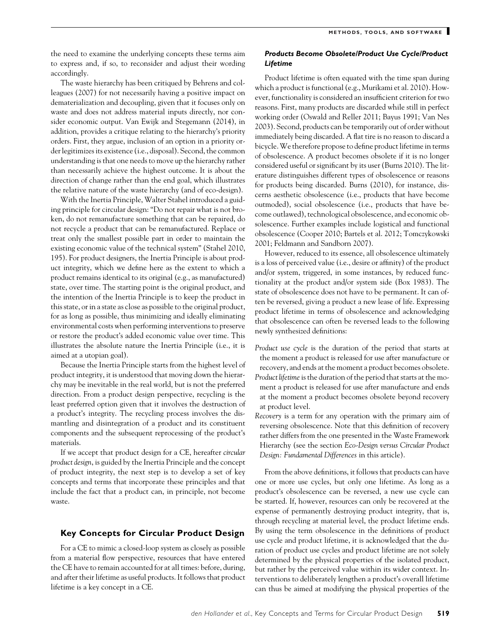the need to examine the underlying concepts these terms aim to express and, if so, to reconsider and adjust their wording accordingly.

The waste hierarchy has been critiqued by Behrens and colleagues (2007) for not necessarily having a positive impact on dematerialization and decoupling, given that it focuses only on waste and does not address material inputs directly, nor consider economic output. Van Ewijk and Stegemann (2014), in addition, provides a critique relating to the hierarchy's priority orders. First, they argue, inclusion of an option in a priority order legitimizes its existence (i.e., disposal). Second, the common understanding is that one needs to move up the hierarchy rather than necessarily achieve the highest outcome. It is about the direction of change rather than the end goal, which illustrates the relative nature of the waste hierarchy (and of eco-design).

With the Inertia Principle, Walter Stahel introduced a guiding principle for circular design: "Do not repair what is not broken, do not remanufacture something that can be repaired, do not recycle a product that can be remanufactured. Replace or treat only the smallest possible part in order to maintain the existing economic value of the technical system" (Stahel 2010, 195). For product designers, the Inertia Principle is about product integrity, which we define here as the extent to which a product remains identical to its original (e.g., as manufactured) state, over time. The starting point is the original product, and the intention of the Inertia Principle is to keep the product in this state, or in a state as close as possible to the original product, for as long as possible, thus minimizing and ideally eliminating environmental costs when performing interventions to preserve or restore the product's added economic value over time. This illustrates the absolute nature the Inertia Principle (i.e., it is aimed at a utopian goal).

Because the Inertia Principle starts from the highest level of product integrity, it is understood that moving down the hierarchy may be inevitable in the real world, but is not the preferred direction. From a product design perspective, recycling is the least preferred option given that it involves the destruction of a product's integrity. The recycling process involves the dismantling and disintegration of a product and its constituent components and the subsequent reprocessing of the product's materials.

If we accept that product design for a CE, hereafter *circular product design*, is guided by the Inertia Principle and the concept of product integrity, the next step is to develop a set of key concepts and terms that incorporate these principles and that include the fact that a product can, in principle, not become waste.

## **Key Concepts for Circular Product Design**

For a CE to mimic a closed-loop system as closely as possible from a material flow perspective, resources that have entered the CE have to remain accounted for at all times: before, during, and after their lifetime as useful products. It follows that product lifetime is a key concept in a CE.

## *Products Become Obsolete/Product Use Cycle/Product Lifetime*

Product lifetime is often equated with the time span during which a product is functional (e.g., Murikami et al. 2010). However, functionality is considered an insufficient criterion for two reasons. First, many products are discarded while still in perfect working order (Oswald and Reller 2011; Bayus 1991; Van Nes 2003). Second, products can be temporarily out of order without immediately being discarded. A flat tire is no reason to discard a bicycle.We therefore propose to define product lifetime in terms of obsolescence. A product becomes obsolete if it is no longer considered useful or significant by its user (Burns 2010). The literature distinguishes different types of obsolescence or reasons for products being discarded. Burns (2010), for instance, discerns aesthetic obsolescence (i.e., products that have become outmoded), social obsolescence (i.e., products that have become outlawed), technological obsolescence, and economic obsolescence. Further examples include logistical and functional obsolescence (Cooper 2010; Bartels et al. 2012; Tomczykowski 2001; Feldmann and Sandborn 2007).

However, reduced to its essence, all obsolescence ultimately is a loss of perceived value (i.e., desire or affinity) of the product and/or system, triggered, in some instances, by reduced functionality at the product and/or system side (Box 1983). The state of obsolescence does not have to be permanent. It can often be reversed, giving a product a new lease of life. Expressing product lifetime in terms of obsolescence and acknowledging that obsolescence can often be reversed leads to the following newly synthesized definitions:

- *Product use cycle* is the duration of the period that starts at the moment a product is released for use after manufacture or recovery, and ends at the moment a product becomes obsolete.
- *Product lifetime* is the duration of the period that starts at the moment a product is released for use after manufacture and ends at the moment a product becomes obsolete beyond recovery at product level.
- *Recovery* is a term for any operation with the primary aim of reversing obsolescence. Note that this definition of recovery rather differs from the one presented in the Waste Framework Hierarchy (see the section *Eco-Design versus Circular Product Design: Fundamental Differences* in this article).

From the above definitions, it follows that products can have one or more use cycles, but only one lifetime. As long as a product's obsolescence can be reversed, a new use cycle can be started. If, however, resources can only be recovered at the expense of permanently destroying product integrity, that is, through recycling at material level, the product lifetime ends. By using the term obsolescence in the definitions of product use cycle and product lifetime, it is acknowledged that the duration of product use cycles and product lifetime are not solely determined by the physical properties of the isolated product, but rather by the perceived value within its wider context. Interventions to deliberately lengthen a product's overall lifetime can thus be aimed at modifying the physical properties of the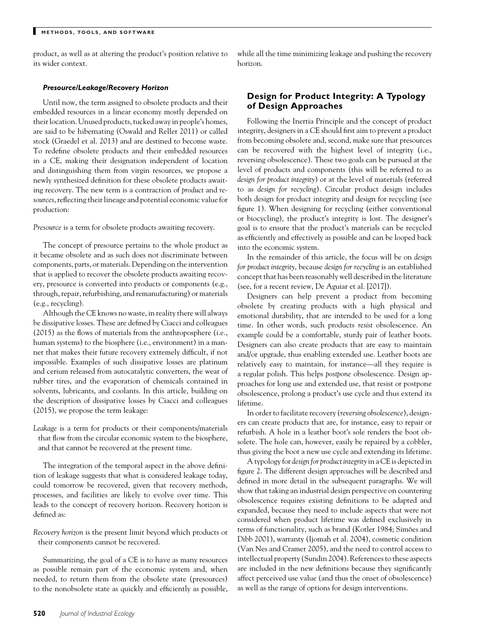#### **METHODS, TOOLS, AND SOFTWARE**

product, as well as at altering the product's position relative to its wider context.

#### *Presource/Leakage/Recovery Horizon*

Until now, the term assigned to obsolete products and their embedded resources in a linear economy mostly depended on their location. Unused products, tucked away in people's homes, are said to be hibernating (Oswald and Reller 2011) or called stock (Graedel et al. 2013) and are destined to become waste. To redefine obsolete products and their embedded resources in a CE, making their designation independent of location and distinguishing them from virgin resources, we propose a newly synthesized definition for these obsolete products awaiting recovery. The new term is a contraction of *product* and *resources*, reflecting their lineage and potential economic value for production:

*Presource* is a term for obsolete products awaiting recovery.

The concept of presource pertains to the whole product as it became obsolete and as such does not discriminate between components, parts, or materials. Depending on the intervention that is applied to recover the obsolete products awaiting recovery, presource is converted into products or components (e.g., through, repair, refurbishing, and remanufacturing) or materials (e.g., recycling).

Although the CE knows no waste, in reality there will always be dissipative losses. These are defined by Ciacci and colleagues (2015) as the flows of materials from the anthroposphere (i.e., human systems) to the biosphere (i.e., environment) in a manner that makes their future recovery extremely difficult, if not impossible. Examples of such dissipative losses are platinum and cerium released from autocatalytic converters, the wear of rubber tires, and the evaporation of chemicals contained in solvents, lubricants, and coolants. In this article, building on the description of dissipative losses by Ciacci and colleagues (2015), we propose the term leakage:

*Leakage* is a term for products or their components/materials that flow from the circular economic system to the biosphere, and that cannot be recovered at the present time.

The integration of the temporal aspect in the above definition of leakage suggests that what is considered leakage today, could tomorrow be recovered, given that recovery methods, processes, and facilities are likely to evolve over time. This leads to the concept of recovery horizon. Recovery horizon is defined as:

*Recovery horizon* is the present limit beyond which products or their components cannot be recovered.

Summarizing, the goal of a CE is to have as many resources as possible remain part of the economic system and, when needed, to return them from the obsolete state (presources) to the nonobsolete state as quickly and efficiently as possible, while all the time minimizing leakage and pushing the recovery horizon.

## **Design for Product Integrity: A Typology of Design Approaches**

Following the Inertia Principle and the concept of product integrity, designers in a CE should first aim to prevent a product from becoming obsolete and, second, make sure that presources can be recovered with the highest level of integrity (i.e., reversing obsolescence). These two goals can be pursued at the level of products and components (this will be referred to as *design for product integrity*) or at the level of materials (referred to as *design for recycling*). Circular product design includes both design for product integrity and design for recycling (see figure 1). When designing for recycling (either conventional or biocycling), the product's integrity is lost. The designer's goal is to ensure that the product's materials can be recycled as efficiently and effectively as possible and can be looped back into the economic system.

In the remainder of this article, the focus will be on *design for product integrity*, because *design for recycling* is an established concept that has been reasonably well described in the literature (see, for a recent review, De Aguiar et al. [2017]).

Designers can help prevent a product from becoming obsolete by creating products with a high physical and emotional durability, that are intended to be used for a long time. In other words, such products *resist* obsolescence. An example could be a comfortable, sturdy pair of leather boots. Designers can also create products that are easy to maintain and/or upgrade, thus enabling extended use. Leather boots are relatively easy to maintain, for instance—all they require is a regular polish. This helps *postpone* obsolescence. Design approaches for long use and extended use, that resist or postpone obsolescence, prolong a product's use cycle and thus extend its lifetime.

In order to facilitate recovery (*reversing obsolescence*), designers can create products that are, for instance, easy to repair or refurbish. A hole in a leather boot's sole renders the boot obsolete. The hole can, however, easily be repaired by a cobbler, thus giving the boot a new use cycle and extending its lifetime.

A typology for *design for product integrity* in a CE is depicted in figure 2. The different design approaches will be described and defined in more detail in the subsequent paragraphs. We will show that taking an industrial design perspective on countering obsolescence requires existing definitions to be adapted and expanded, because they need to include aspects that were not considered when product lifetime was defined exclusively in terms of functionality, such as brand (Kotler 1984; Simões and Dibb 2001), warranty (Ijomah et al. 2004), cosmetic condition (Van Nes and Cramer 2005), and the need to control access to intellectual property (Sundin 2004). References to these aspects are included in the new definitions because they significantly affect perceived use value (and thus the onset of obsolescence) as well as the range of options for design interventions.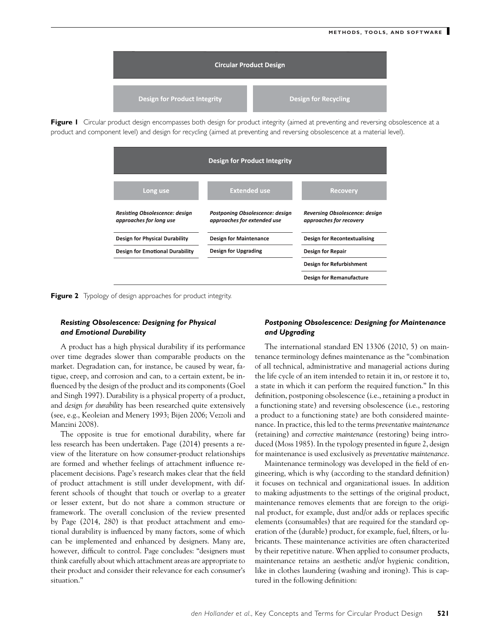

Figure I Circular product design encompasses both design for product integrity (aimed at preventing and reversing obsolescence at a product and component level) and design for recycling (aimed at preventing and reversing obsolescence at a material level).



**Figure 2** Typology of design approaches for product integrity.

## *Resisting Obsolescence: Designing for Physical and Emotional Durability*

A product has a high physical durability if its performance over time degrades slower than comparable products on the market. Degradation can, for instance, be caused by wear, fatigue, creep, and corrosion and can, to a certain extent, be influenced by the design of the product and its components (Goel and Singh 1997). Durability is a physical property of a product, and *design for durability* has been researched quite extensively (see, e.g., Keoleian and Menery 1993; Bijen 2006; Vezzoli and Manzini 2008).

The opposite is true for emotional durability, where far less research has been undertaken. Page (2014) presents a review of the literature on how consumer-product relationships are formed and whether feelings of attachment influence replacement decisions. Page's research makes clear that the field of product attachment is still under development, with different schools of thought that touch or overlap to a greater or lesser extent, but do not share a common structure or framework. The overall conclusion of the review presented by Page (2014, 280) is that product attachment and emotional durability is influenced by many factors, some of which can be implemented and enhanced by designers. Many are, however, difficult to control. Page concludes: "designers must think carefully about which attachment areas are appropriate to their product and consider their relevance for each consumer's situation."

## *Postponing Obsolescence: Designing for Maintenance and Upgrading*

The international standard EN 13306 (2010, 5) on maintenance terminology defines maintenance as the "combination of all technical, administrative and managerial actions during the life cycle of an item intended to retain it in, or restore it to, a state in which it can perform the required function." In this definition, postponing obsolescence (i.e., retaining a product in a functioning state) and reversing obsolescence (i.e., restoring a product to a functioning state) are both considered maintenance. In practice, this led to the terms *preventative maintenance* (retaining) and *corrective maintenance* (restoring) being introduced (Moss 1985). In the typology presented in figure 2, design for maintenance is used exclusively as *preventative maintenance*.

Maintenance terminology was developed in the field of engineering, which is why (according to the standard definition) it focuses on technical and organizational issues. In addition to making adjustments to the settings of the original product, maintenance removes elements that are foreign to the original product, for example, dust and/or adds or replaces specific elements (consumables) that are required for the standard operation of the (durable) product, for example, fuel, filters, or lubricants. These maintenance activities are often characterized by their repetitive nature. When applied to consumer products, maintenance retains an aesthetic and/or hygienic condition, like in clothes laundering (washing and ironing). This is captured in the following definition: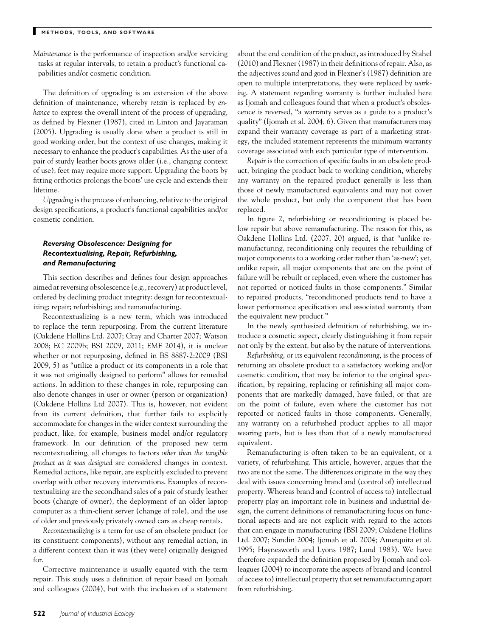*Maintenance* is the performance of inspection and/or servicing tasks at regular intervals, to retain a product's functional capabilities and/or cosmetic condition.

The definition of upgrading is an extension of the above definition of maintenance, whereby *retain* is replaced by *enhance* to express the overall intent of the process of upgrading, as defined by Flexner (1987), cited in Linton and Jayaraman (2005). Upgrading is usually done when a product is still in good working order, but the context of use changes, making it necessary to enhance the product's capabilities. As the user of a pair of sturdy leather boots grows older (i.e., changing context of use), feet may require more support. Upgrading the boots by fitting orthotics prolongs the boots' use cycle and extends their lifetime.

Upgrading is the process of enhancing, relative to the original design specifications, a product's functional capabilities and/or cosmetic condition.

## *Reversing Obsolescence: Designing for Recontextualising, Repair, Refurbishing, and Remanufacturing*

This section describes and defines four design approaches aimed at reversing obsolescence (e.g., recovery) at product level, ordered by declining product integrity: design for recontextualizing; repair; refurbishing; and remanufacturing.

Recontextualizing is a new term, which was introduced to replace the term repurposing. From the current literature (Oakdene Hollins Ltd. 2007; Gray and Charter 2007; Watson 2008; EC 2009b; BSI 2009, 2011; EMF 2014), it is unclear whether or not repurposing, defined in BS 8887-2:2009 (BSI 2009, 5) as "utilize a product or its components in a role that it was not originally designed to perform" allows for remedial actions. In addition to these changes in role, repurposing can also denote changes in user or owner (person or organization) (Oakdene Hollins Ltd 2007). This is, however, not evident from its current definition, that further fails to explicitly accommodate for changes in the wider context surrounding the product, like, for example, business model and/or regulatory framework. In our definition of the proposed new term recontextualizing, all changes to factors *other than the tangible product as it was designed* are considered changes in context. Remedial actions, like repair, are explicitly excluded to prevent overlap with other recovery interventions. Examples of recontextualizing are the secondhand sales of a pair of sturdy leather boots (change of owner), the deployment of an older laptop computer as a thin-client server (change of role), and the use of older and previously privately owned cars as cheap rentals.

*Recontextualizing* is a term for use of an obsolete product (or its constituent components), without any remedial action, in a different context than it was (they were) originally designed for.

Corrective maintenance is usually equated with the term repair. This study uses a definition of repair based on Ijomah and colleagues (2004), but with the inclusion of a statement about the end condition of the product, as introduced by Stahel (2010) and Flexner (1987) in their definitions of repair. Also, as the adjectives *sound* and *good* in Flexner's (1987) definition are open to multiple interpretations, they were replaced by *working*. A statement regarding warranty is further included here as Ijomah and colleagues found that when a product's obsolescence is reversed, "a warranty serves as a guide to a product's quality" (Ijomah et al. 2004, 6). Given that manufacturers may expand their warranty coverage as part of a marketing strategy, the included statement represents the minimum warranty coverage associated with each particular type of intervention.

*Repair* is the correction of specific faults in an obsolete product, bringing the product back to working condition, whereby any warranty on the repaired product generally is less than those of newly manufactured equivalents and may not cover the whole product, but only the component that has been replaced.

In figure 2, refurbishing or reconditioning is placed below repair but above remanufacturing. The reason for this, as Oakdene Hollins Ltd. (2007, 20) argued, is that "unlike remanufacturing, reconditioning only requires the rebuilding of major components to a working order rather than 'as-new'; yet, unlike repair, all major components that are on the point of failure will be rebuilt or replaced, even where the customer has not reported or noticed faults in those components." Similar to repaired products, "reconditioned products tend to have a lower performance specification and associated warranty than the equivalent new product."

In the newly synthesized definition of refurbishing, we introduce a cosmetic aspect, clearly distinguishing it from repair not only by the extent, but also by the nature of interventions.

*Refurbishing*, or its equivalent *reconditioning*, is the process of returning an obsolete product to a satisfactory working and/or cosmetic condition, that may be inferior to the original specification, by repairing, replacing or refinishing all major components that are markedly damaged, have failed, or that are on the point of failure, even where the customer has not reported or noticed faults in those components. Generally, any warranty on a refurbished product applies to all major wearing parts, but is less than that of a newly manufactured equivalent.

Remanufacturing is often taken to be an equivalent, or a variety, of refurbishing. This article, however, argues that the two are not the same. The differences originate in the way they deal with issues concerning brand and (control of) intellectual property. Whereas brand and (control of access to) intellectual property play an important role in business and industrial design, the current definitions of remanufacturing focus on functional aspects and are not explicit with regard to the actors that can engage in manufacturing (BSI 2009; Oakdene Hollins Ltd. 2007; Sundin 2004; Ijomah et al. 2004; Amezquita et al. 1995; Haynesworth and Lyons 1987; Lund 1983). We have therefore expanded the definition proposed by Ijomah and colleagues (2004) to incorporate the aspects of brand and (control of access to) intellectual property that set remanufacturing apart from refurbishing.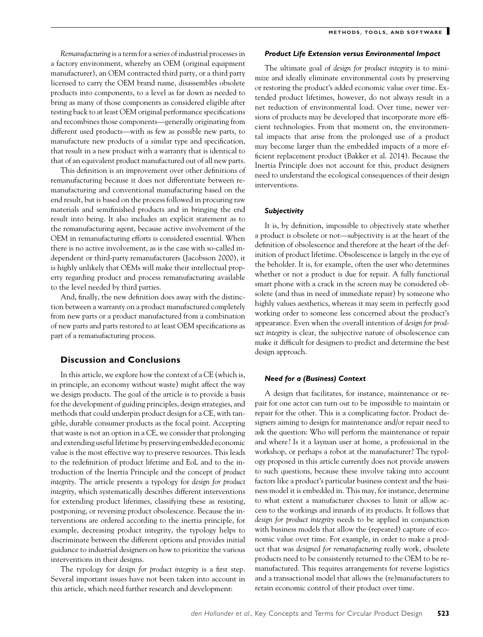*Remanufacturing* is a term for a series of industrial processes in a factory environment, whereby an OEM (original equipment manufacturer), an OEM contracted third party, or a third party licensed to carry the OEM brand name, disassembles obsolete products into components, to a level as far down as needed to bring as many of those components as considered eligible after testing back to at least OEM original performance specifications and recombines those components—generally originating from different used products—with as few as possible new parts, to manufacture new products of a similar type and specification, that result in a new product with a warranty that is identical to that of an equivalent product manufactured out of all new parts.

This definition is an improvement over other definitions of remanufacturing because it does not differentiate between remanufacturing and conventional manufacturing based on the end result, but is based on the process followed in procuring raw materials and semifinished products and in bringing the end result into being. It also includes an explicit statement as to the remanufacturing agent, because active involvement of the OEM in remanufacturing efforts is considered essential. When there is no active involvement, as is the case with so-called independent or third-party remanufacturers (Jacobsson 2000), it is highly unlikely that OEMs will make their intellectual property regarding product and process remanufacturing available to the level needed by third parties.

And, finally, the new definition does away with the distinction between a warranty on a product manufactured completely from new parts or a product manufactured from a combination of new parts and parts restored to at least OEM specifications as part of a remanufacturing process.

## **Discussion and Conclusions**

In this article, we explore how the context of a CE (which is, in principle, an economy without waste) might affect the way we design products. The goal of the article is to provide a basis for the development of guiding principles, design strategies, and methods that could underpin product design for a CE, with tangible, durable consumer products as the focal point. Accepting that waste is not an option in a CE, we consider that prolonging and extending useful lifetime by preserving embedded economic value is the most effective way to preserve resources. This leads to the redefinition of product lifetime and EoL and to the introduction of the Inertia Principle and the concept of *product integrity*. The article presents a typology for *design for product integrity*, which systematically describes different interventions for extending product lifetimes, classifying these as resisting, postponing, or reversing product obsolescence. Because the interventions are ordered according to the inertia principle, for example, decreasing product integrity, the typology helps to discriminate between the different options and provides initial guidance to industrial designers on how to prioritize the various interventions in their designs.

The typology for *design for product integrity* is a first step. Several important issues have not been taken into account in this article, which need further research and development:

#### *Product Life Extension versus Environmental Impact*

The ultimate goal of *design for product integrity* is to minimize and ideally eliminate environmental costs by preserving or restoring the product's added economic value over time. Extended product lifetimes, however, do not always result in a net reduction of environmental load. Over time, newer versions of products may be developed that incorporate more efficient technologies. From that moment on, the environmental impacts that arise from the prolonged use of a product may become larger than the embedded impacts of a more efficient replacement product (Bakker et al. 2014). Because the Inertia Principle does not account for this, product designers need to understand the ecological consequences of their design interventions.

#### *Subjectivity*

It is, by definition, impossible to objectively state whether a product is obsolete or not—subjectivity is at the heart of the definition of obsolescence and therefore at the heart of the definition of product lifetime. Obsolescence is largely in the eye of the beholder. It is, for example, often the user who determines whether or not a product is due for repair. A fully functional smart phone with a crack in the screen may be considered obsolete (and thus in need of immediate repair) by someone who highly values aesthetics, whereas it may seem in perfectly good working order to someone less concerned about the product's appearance. Even when the overall intention of *design for product integrity* is clear, the subjective nature of obsolescence can make it difficult for designers to predict and determine the best design approach.

#### *Need for a (Business) Context*

A design that facilitates, for instance, maintenance or repair for one actor can turn out to be impossible to maintain or repair for the other. This is a complicating factor. Product designers aiming to design for maintenance and/or repair need to ask the question: Who will perform the maintenance or repair and where? Is it a layman user at home, a professional in the workshop, or perhaps a robot at the manufacturer? The typology proposed in this article currently does not provide answers to such questions, because these involve taking into account factors like a product's particular business context and the business model it is embedded in. This may, for instance, determine to what extent a manufacturer chooses to limit or allow access to the workings and innards of its products. It follows that *design for product integrity* needs to be applied in conjunction with business models that allow the (repeated) capture of economic value over time. For example, in order to make a product that was *designed for remanufacturing* really work, obsolete products need to be consistently returned to the OEM to be remanufactured. This requires arrangements for reverse logistics and a transactional model that allows the (re)manufacturers to retain economic control of their product over time.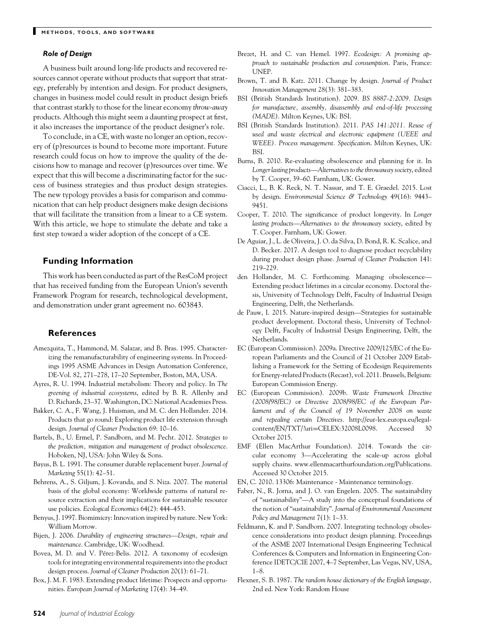#### *Role of Design*

A business built around long-life products and recovered resources cannot operate without products that support that strategy, preferably by intention and design. For product designers, changes in business model could result in product design briefs that contrast starkly to those for the linear economy *throw-away* products. Although this might seem a daunting prospect at first, it also increases the importance of the product designer's role.

To conclude, in a CE, with waste no longer an option, recovery of (p)resources is bound to become more important. Future research could focus on how to improve the quality of the decisions how to manage and recover (p)resources over time. We expect that this will become a discriminating factor for the success of business strategies and thus product design strategies. The new typology provides a basis for comparison and communication that can help product designers make design decisions that will facilitate the transition from a linear to a CE system. With this article, we hope to stimulate the debate and take a first step toward a wider adoption of the concept of a CE.

### **Funding Information**

This work has been conducted as part of the ResCoM project that has received funding from the European Union's seventh Framework Program for research, technological development, and demonstration under grant agreement no. 603843.

#### **References**

- Amezquita, T., Hammond, M. Salazar, and B. Bras. 1995. Characterizing the remanufacturability of engineering systems. In Proceedings 1995 ASME Advances in Design Automation Conference, DE-Vol. 82, 271–278, 17–20 September, Boston, MA, USA.
- Ayres, R. U. 1994. Industrial metabolism: Theory and policy. In *The greening of industrial ecosystems*, edited by B. R. Allenby and D. Richards, 23–37. Washington, DC: National Academies Press.
- Bakker, C. A., F. Wang, J. Huisman, and M. C. den Hollander. 2014. Products that go round: Exploring product life extension through design. *Journal of Cleaner Production* 69: 10–16.
- Bartels, B., U. Ermel, P. Sandborn, and M. Pecht. 2012. *Strategies to the prediction, mitigation and management of product obsolescence*. Hoboken, NJ, USA: John Wiley & Sons.
- Bayus, B. L. 1991. The consumer durable replacement buyer. *Journal of Marketing* 55(1): 42–51.
- Behrens, A., S. Giljum, J. Kovanda, and S. Niza. 2007. The material basis of the global economy: Worldwide patterns of natural resource extraction and their implications for sustainable resource use policies. *Ecological Economics* 64(2): 444–453.
- Benyus, J. 1997. Biomimicry: Innovation inspired by nature. New York: William Morrow.
- Bijen, J. 2006. *Durability of engineering structures—Design, repair and maintenance*. Cambridge, UK: Woodhead.
- Bovea, M. D. and V. Pérez-Belis. 2012. A taxonomy of ecodesign tools for integrating environmental requirements into the product design process. *Journal of Cleaner Production* 20(1): 61–71.
- Box, J. M. F. 1983. Extending product lifetime: Prospects and opportunities. *European Journal of Marketing* 17(4): 34–49.
- Brezet, H. and C. van Hemel. 1997. *Ecodesign: A promising approach to sustainable production and consumption*. Paris, France: UNEP.
- Brown, T. and B. Katz. 2011. Change by design. *Journal of Product Innovation Management* 28(3): 381–383.
- BSI (British Standards Institution). 2009. *BS 8887-2:2009. Design for manufacture, assembly, disassembly and end-of-life processing (MADE)*. Milton Keynes, UK: BSI.
- BSI (British Standards Institution). 2011. *PAS 141:2011. Reuse of used and waste electrical and electronic equipment (UEEE and WEEE). Process management. Specification*. Milton Keynes, UK: BSI.
- Burns, B. 2010. Re-evaluating obsolescence and planning for it. In *Longer lasting products—Alternatives to the throwaway society*, edited by T. Cooper, 39–60. Farnham, UK: Gower.
- Ciacci, L., B. K. Reck, N. T. Nassar, and T. E. Graedel. 2015. Lost by design. *Environmental Science & Technology* 49(16): 9443– 9451.
- Cooper, T. 2010. The significance of product longevity. In *Longer lasting products—Alternatives to the throwaway society*, edited by T. Cooper. Farnham, UK: Gower.
- De Aguiar, J., L. de Oliveira, J. O. da Silva, D. Bond, R. K. Scalice, and D. Becker. 2017. A design tool to diagnose product recyclability during product design phase. *Journal of Cleaner Production* 141: 219–229.
- den Hollander, M. C. Forthcoming. Managing obsolescence— Extending product lifetimes in a circular economy. Doctoral thesis, University of Technology Delft, Faculty of Industrial Design Engineering, Delft, the Netherlands.
- de Pauw, I. 2015. Nature-inspired design—Strategies for sustainable product development. Doctoral thesis, University of Technology Delft, Faculty of Industrial Design Engineering, Delft, the Netherlands.
- EC (European Commission). 2009a. Directive 2009/125/EC of the European Parliaments and the Council of 21 October 2009 Establishing a Framework for the Setting of Ecodesign Requirements for Energy-related Products (Recast), vol. 2011. Brussels, Belgium: European Commission Energy.
- EC (European Commission). 2009b. *Waste Framework Directive (2008/98/EC)* or *Directive 2008/98/EC of the European Parliament and of the Council of 19 November 2008 on waste and repealing certain Directives*. http://eur-lex.europa.eu/legalcontent/EN/TXT/?uri=CELEX:32008L0098. Accessed 30 October 2015.
- EMF (Ellen MacArthur Foundation). 2014. Towards the circular economy 3—Accelerating the scale-up across global supply chains. www.ellenmacarthurfoundation.org/Publications. Accessed 30 October 2015.
- EN, C. 2010. 13306: Maintenance Maintenance terminology.
- Faber, N., R. Jorna, and J. O. van Engelen. 2005. The sustainability of "sustainability"—A study into the conceptual foundations of the notion of "sustainability". *Journal of Environmental Assessment Policy and Management* 7(1): 1–33.
- Feldmann, K. and P. Sandborn. 2007. Integrating technology obsolescence considerations into product design planning. Proceedings of the ASME 2007 International Design Engineering Technical Conferences & Computers and Information in Engineering Conference IDETC/CIE 2007, 4–7 September, Las Vegas, NV, USA, 1–8.
- Flexner, S. B. 1987. *The random house dictionary of the English language,* 2nd ed. New York: Random House